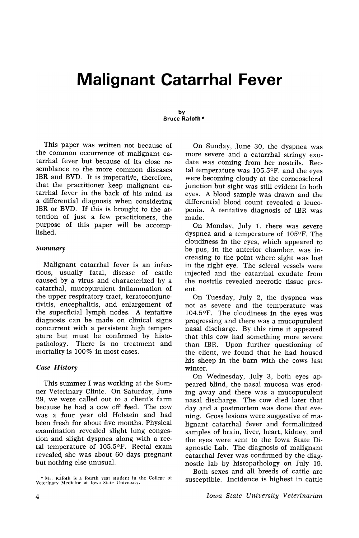# **Malignant Catarrhal Fever**

#### by Bruce Rafoth \*

This paper was written not because of the common occurrence of malignant catarrhal fever but because of its close resemblance to the more common diseases IBR and BVD. It is imperative, therefore, that the practitioner keep malignant catarrhal fever in, the back of his mind as a differential diagnosis when considering IBR or BVD. If this is brought to the attention of just a few practitioners, the purpose of this paper will be accomplished.

### *Summary*

Malignant catarrhal fever is an infectious, usually fatal, disease of cattle caused by a virus and characterized by a catarrhal, mucopurulent inflammation of the upper respiratory tract, keratoconjunctivitis, encephalitis, and enlargement of the superficial lymph nodes. A tentative diagnosis can be made on clinical signs concurrent with a persistent high temperature but must be confirmed by histo-There is no treatment and mortality is 100% in most cases.

## *Case History*

This summer I was working at the Sumner Veterinary Clinic. On Saturday, June 29, we were called out to a client's farm because he had a cow off feed. The cow was a four year old Holstein and had been fresh for about five months. Physical examination revealed slight lung congestion and slight dyspnea along with a rectal temperature of 105.5°F. Rectal exam revealed she was about 60 days pregnant but nothing else unusual.

On Sunday, June 30, the dyspnea was more severe and a catarrhal stringy exudate was coming from her nostrils. Rectal temperature was 10S.5°F. and the eyes were becoming cloudy at the corneoscleral junction but sight was still evident in both eyes. A blood sample was drawn 'and the differential blood count revealed a leucopenia. A tentative diagnosis of IBR was made.

On Monday, July 1, there was severe dyspnea and a temperature of 105°F. The cloudiness in the eyes, which appeared to be pus, in the anterior chamber, was increasing to the point where sight was lost in the right eye. The scleral vessels were injected and the catarrhal exudate from the nostrils revealed necrotic tissue present.

On Tuesday, July 2, the dyspnea was not as severe and the temperature was 104.5°F. The cloudiness in the eyes was progressing and there was a mucopurulent nasal discharge. By this time it appeared that this cow had something more severe than IBR. Upon further questioning of the client, we found that he had housed his sheep in the barn with the cows last winter.

On Wednesday, July 3, both eyes appeared blind, the nasal mucosa was eroding away and there was a mucopurulent nasal discharge. The cow died later that day and a postmortem was done that evening. Gross lesions were suggestive of malignant catarrhal fever and formalinized samples of brain, liver, heart, kidney, and the eyes were sent to the Iowa State Diagnostic Lab. The diagnosis of malignant catarrhal fever was confirmed by the diagnostic lab by histopathology on July 19.

Both sexes and all breeds of cattle are susceptible. Incidence is highest in cattle

<sup>~~</sup>foth is <sup>a</sup> fourth year student in the College of Veterinary Medicine at Iowa State University.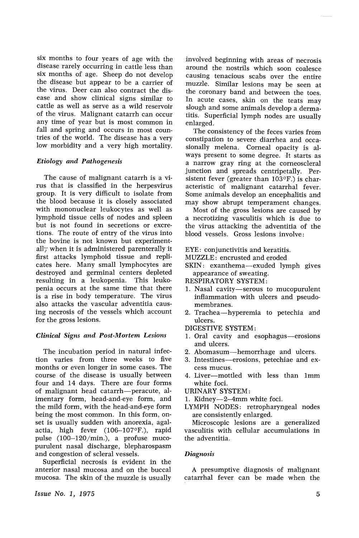six months to four years of age with the disease rarely occurring in cattle less than six months of age. Sheep do not develop the disease but appear to be a carrier of the virus. Deer can also contract the disease and show clinical signs similar to cattle as well as serve as a wild reservoir of the virus. Malignant catarrh can occur any time of year but is most common in fall and spring and occurs in most countries of the world. The disease has a very low morbidity and a very high mortality.

#### *Etiology and Pathogenesis*

The cause of malignant catarrh is a virus that is classified in the herpesvirus group. It is very difficult to isolate from the blood because it is closely associated with mononuclear leukocytes as well as lymphoid tissue cells of nodes and spleen but is not found in secretions or excretions. The route of entry of the virus into the bovine is not known but experimentally when it is administered parenterally it first attacks lymphoid tissue and replicates here. Many small lymphocytes are destroyed and germinal centers depieted resulting in a leukopenia. This leukopenia occurs at the same time that there is a rise in body temperature. The virus also attacks the vascular adventitia causing necrosis of the vessels which account for the gross lesions.

#### *Clinical Signs and Post-Mortem Lesions*

The incubation period in natural infection varies from three weeks to five months or even longer in some cases. The course of the disease is usually between four and 14 days. There are four forms of malignant head catarrh-peracute, alimentary form, head-and-eye form, and the mild form, with the head-and-eye form being the most common. In this form, onset is usually sudden with anorexia, agalactia, high fever (106-107°F.), rapid pulse (100-120/min.), a profuse mucopurulent nasal discharge, blepharospasm and congestion of scleral vessels.

Superficial necrosis is evident in the anterior nasal mucosa and on the buccal mucosa. The skin of the muzzle is usually

involved beginning with areas of necrosis around the nostrils which soon coalesce causing tenacious scabs over the entire muzzle. Similar lesions may be seen at the coronary band and between the toes. In acute cases, skin on the teats may slough and some animals develop a dermatitis. Superficial lymph nodes are usually enlarged.

The consistency of the feces varies from constipation to severe diarrhea and occasionally melena. Corneal opacity is always present to some degree. Jt starts as a narrow gray ring at the corneoscleraI junction and spreads centripetally. Persistent fever (greater than 103°F.) is characteristic of malignant catarrhal fever. Some animals develop an encephalitis and may show abrupt temperament changes.

Most of the gross lesions are caused by a necrotizing vasculitis which is due to the virus attacking the adventitia of the blood vessels. Gross lesions involve:

EYE: conjunctivitis and keratitis.

- MUZZLE: encrusted and eroded
- SKIN: exanthema-exuded lymph gives appearance of sweating.

RESPIRATORY SYSTEM:

- 1. Nasal cavity-serous to mucopurulent inflammation with ulcers and pseudomembranes.
- 2. Trachea-hyperemia to petechia and ulcers.

DIGESTIVE SYSTEM:

- 1. Oral cavity and esophagus-erosions and ulcers.
- 2. Abomasum-hemorrhage and ulcers.
- 3. Intestines-erosions, petechiae and excess mucus.
- 4. Liver-mottled with less than Imm white foci.

URINARY SYSTEM:

- 1. Kidney-2-4mm white foci.
- LYMPH NODES: retropharyngeal nodes are consistently enlarged.

Microscopic lesions are a generalized vasculitis with cellular accumulations in the adventitia.

#### *Diagnosis*

A presumptive diagnosis of malignant catarrhal fever can be made when the